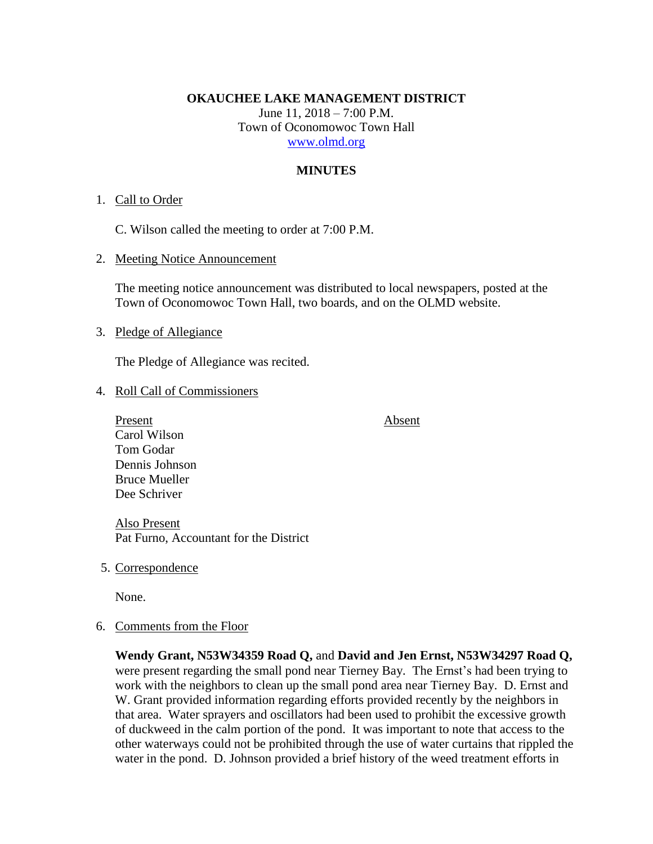#### **OKAUCHEE LAKE MANAGEMENT DISTRICT**

June 11, 2018 – 7:00 P.M. Town of Oconomowoc Town Hall [www.olmd.org](http://www.olmd.org/)

#### **MINUTES**

#### 1. Call to Order

C. Wilson called the meeting to order at 7:00 P.M.

2. Meeting Notice Announcement

The meeting notice announcement was distributed to local newspapers, posted at the Town of Oconomowoc Town Hall, two boards, and on the OLMD website.

#### 3. Pledge of Allegiance

The Pledge of Allegiance was recited.

#### 4. Roll Call of Commissioners

Present Absent Carol Wilson Tom Godar Dennis Johnson Bruce Mueller Dee Schriver

Also Present Pat Furno, Accountant for the District

5. Correspondence

None.

6. Comments from the Floor

**Wendy Grant, N53W34359 Road Q,** and **David and Jen Ernst, N53W34297 Road Q,** were present regarding the small pond near Tierney Bay. The Ernst's had been trying to work with the neighbors to clean up the small pond area near Tierney Bay. D. Ernst and W. Grant provided information regarding efforts provided recently by the neighbors in that area. Water sprayers and oscillators had been used to prohibit the excessive growth of duckweed in the calm portion of the pond. It was important to note that access to the other waterways could not be prohibited through the use of water curtains that rippled the water in the pond. D. Johnson provided a brief history of the weed treatment efforts in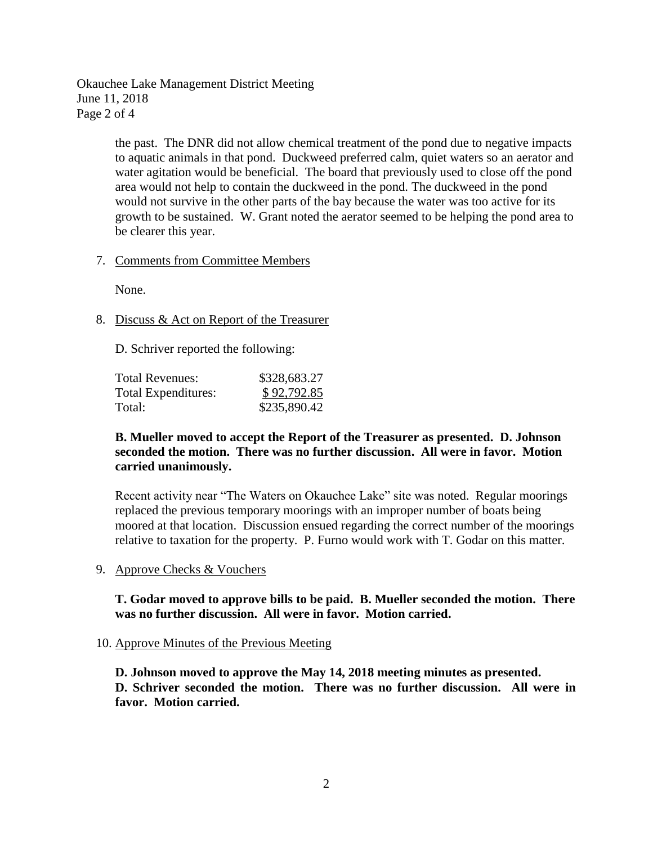Okauchee Lake Management District Meeting June 11, 2018 Page 2 of 4

> the past. The DNR did not allow chemical treatment of the pond due to negative impacts to aquatic animals in that pond. Duckweed preferred calm, quiet waters so an aerator and water agitation would be beneficial. The board that previously used to close off the pond area would not help to contain the duckweed in the pond. The duckweed in the pond would not survive in the other parts of the bay because the water was too active for its growth to be sustained. W. Grant noted the aerator seemed to be helping the pond area to be clearer this year.

## 7. Comments from Committee Members

None.

# 8. Discuss & Act on Report of the Treasurer

D. Schriver reported the following:

| Total Revenues:     | \$328,683.27 |
|---------------------|--------------|
| Total Expenditures: | \$92,792.85  |
| Total:              | \$235,890.42 |

## **B. Mueller moved to accept the Report of the Treasurer as presented. D. Johnson seconded the motion. There was no further discussion. All were in favor. Motion carried unanimously.**

Recent activity near "The Waters on Okauchee Lake" site was noted. Regular moorings replaced the previous temporary moorings with an improper number of boats being moored at that location. Discussion ensued regarding the correct number of the moorings relative to taxation for the property. P. Furno would work with T. Godar on this matter.

9. Approve Checks & Vouchers

**T. Godar moved to approve bills to be paid. B. Mueller seconded the motion. There was no further discussion. All were in favor. Motion carried.**

## 10. Approve Minutes of the Previous Meeting

**D. Johnson moved to approve the May 14, 2018 meeting minutes as presented. D. Schriver seconded the motion. There was no further discussion. All were in favor. Motion carried.**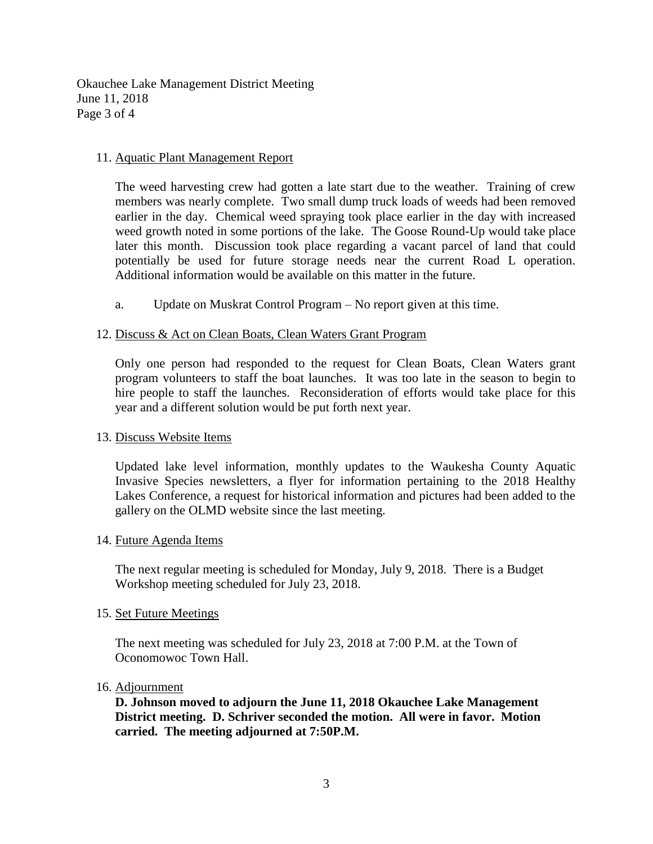Okauchee Lake Management District Meeting June 11, 2018 Page 3 of 4

## 11. Aquatic Plant Management Report

The weed harvesting crew had gotten a late start due to the weather. Training of crew members was nearly complete. Two small dump truck loads of weeds had been removed earlier in the day. Chemical weed spraying took place earlier in the day with increased weed growth noted in some portions of the lake. The Goose Round-Up would take place later this month. Discussion took place regarding a vacant parcel of land that could potentially be used for future storage needs near the current Road L operation. Additional information would be available on this matter in the future.

a. Update on Muskrat Control Program – No report given at this time.

# 12. Discuss & Act on Clean Boats, Clean Waters Grant Program

Only one person had responded to the request for Clean Boats, Clean Waters grant program volunteers to staff the boat launches. It was too late in the season to begin to hire people to staff the launches. Reconsideration of efforts would take place for this year and a different solution would be put forth next year.

## 13. Discuss Website Items

Updated lake level information, monthly updates to the Waukesha County Aquatic Invasive Species newsletters, a flyer for information pertaining to the 2018 Healthy Lakes Conference, a request for historical information and pictures had been added to the gallery on the OLMD website since the last meeting.

## 14. Future Agenda Items

The next regular meeting is scheduled for Monday, July 9, 2018. There is a Budget Workshop meeting scheduled for July 23, 2018.

## 15. Set Future Meetings

The next meeting was scheduled for July 23, 2018 at 7:00 P.M. at the Town of Oconomowoc Town Hall.

## 16. Adjournment

**D. Johnson moved to adjourn the June 11, 2018 Okauchee Lake Management District meeting. D. Schriver seconded the motion. All were in favor. Motion carried. The meeting adjourned at 7:50P.M.**